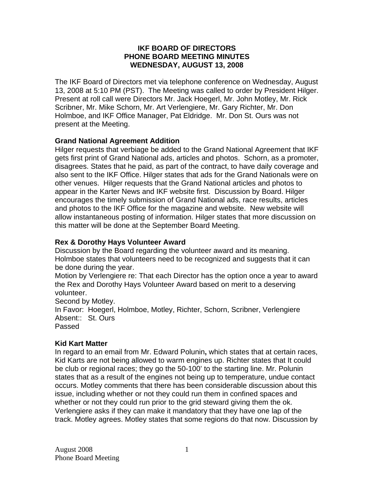## **IKF BOARD OF DIRECTORS PHONE BOARD MEETING MINUTES WEDNESDAY, AUGUST 13, 2008**

The IKF Board of Directors met via telephone conference on Wednesday, August 13, 2008 at 5:10 PM (PST). The Meeting was called to order by President Hilger. Present at roll call were Directors Mr. Jack Hoegerl, Mr. John Motley, Mr. Rick Scribner, Mr. Mike Schorn, Mr. Art Verlengiere, Mr. Gary Richter, Mr. Don Holmboe, and IKF Office Manager, Pat Eldridge. Mr. Don St. Ours was not present at the Meeting.

# **Grand National Agreement Addition**

Hilger requests that verbiage be added to the Grand National Agreement that IKF gets first print of Grand National ads, articles and photos. Schorn, as a promoter, disagrees. States that he paid, as part of the contract, to have daily coverage and also sent to the IKF Office. Hilger states that ads for the Grand Nationals were on other venues. Hilger requests that the Grand National articles and photos to appear in the Karter News and IKF website first. Discussion by Board. Hilger encourages the timely submission of Grand National ads, race results, articles and photos to the IKF Office for the magazine and website. New website will allow instantaneous posting of information. Hilger states that more discussion on this matter will be done at the September Board Meeting.

# **Rex & Dorothy Hays Volunteer Award**

Discussion by the Board regarding the volunteer award and its meaning. Holmboe states that volunteers need to be recognized and suggests that it can be done during the year.

Motion by Verlengiere re: That each Director has the option once a year to award the Rex and Dorothy Hays Volunteer Award based on merit to a deserving volunteer.

Second by Motley.

In Favor: Hoegerl, Holmboe, Motley, Richter, Schorn, Scribner, Verlengiere Absent:: St. Ours

Passed

## **Kid Kart Matter**

In regard to an email from Mr. Edward Polunin**,** which states that at certain races, Kid Karts are not being allowed to warm engines up. Richter states that It could be club or regional races; they go the 50-100' to the starting line. Mr. Polunin states that as a result of the engines not being up to temperature, undue contact occurs. Motley comments that there has been considerable discussion about this issue, including whether or not they could run them in confined spaces and whether or not they could run prior to the grid steward giving them the ok. Verlengiere asks if they can make it mandatory that they have one lap of the track. Motley agrees. Motley states that some regions do that now. Discussion by